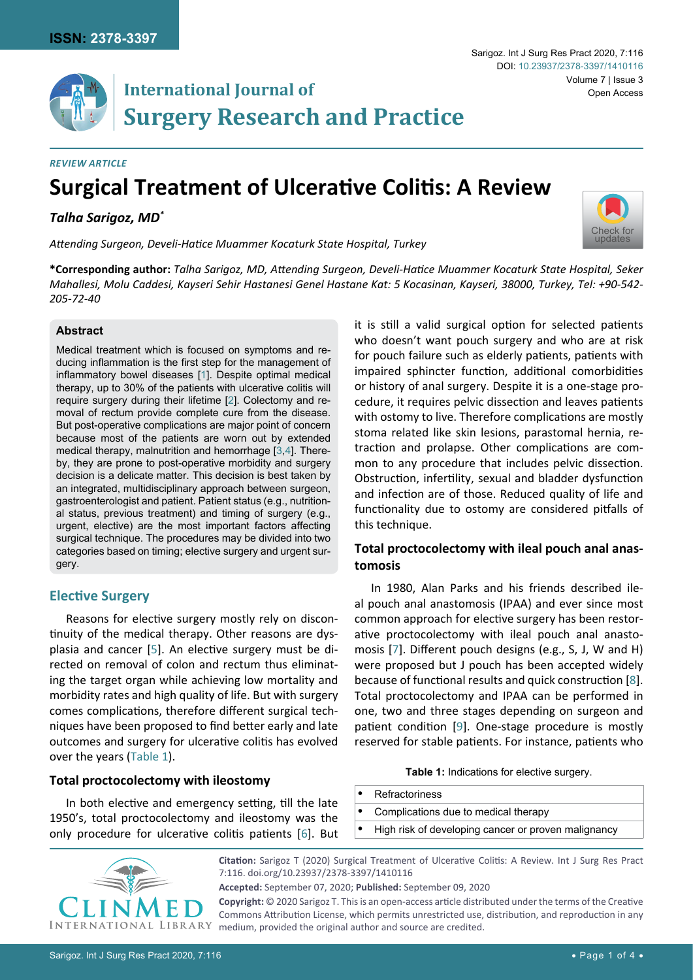# **International Journal of Surgery Research and Practice**

## *Review Article*

# **Surgical Treatment of Ulcerative Colitis: A Review**

*Talha Sarigoz, MD\**

*Attending Surgeon, Develi-Hatice Muammer Kocaturk State Hospital, Turkey*

**\*Corresponding author:** *Talha Sarigoz, MD, Attending Surgeon, Develi-Hatice Muammer Kocaturk State Hospital, Seker Mahallesi, Molu Caddesi, Kayseri Sehir Hastanesi Genel Hastane Kat: 5 Kocasinan, Kayseri, 38000, Turkey, Tel: +90-542- 205-72-40*

#### **Abstract**

Medical treatment which is focused on symptoms and reducing inflammation is the first step for the management of inflammatory bowel diseases [[1](#page-2-0)]. Despite optimal medical therapy, up to 30% of the patients with ulcerative colitis will require surgery during their lifetime [[2\]](#page-2-1). Colectomy and removal of rectum provide complete cure from the disease. But post-operative complications are major point of concern because most of the patients are worn out by extended medical therapy, malnutrition and hemorrhage [[3,](#page-2-2)[4](#page-2-3)]. Thereby, they are prone to post-operative morbidity and surgery decision is a delicate matter. This decision is best taken by an integrated, multidisciplinary approach between surgeon, gastroenterologist and patient. Patient status (e.g., nutritional status, previous treatment) and timing of surgery (e.g., urgent, elective) are the most important factors affecting surgical technique. The procedures may be divided into two categories based on timing; elective surgery and urgent surgery.

### **Elective Surgery**

Reasons for elective surgery mostly rely on discontinuity of the medical therapy. Other reasons are dysplasia and cancer [[5](#page-2-0)]. An elective surgery must be directed on removal of colon and rectum thus eliminating the target organ while achieving low mortality and morbidity rates and high quality of life. But with surgery comes complications, therefore different surgical techniques have been proposed to find better early and late outcomes and surgery for ulcerative colitis has evolved over the years [\(Table 1\)](#page-0-0).

#### **Total proctocolectomy with ileostomy**

In both elective and emergency setting, till the late 1950's, total proctocolectomy and ileostomy was the only procedure for ulcerative colitis patients [[6](#page-2-7)]. But

> **Citation:** Sarigoz T (2020) Surgical Treatment of Ulcerative Colitis: A Review. Int J Surg Res Pract 7:116. [doi.org/10.23937/2378-3397/1410116](https://doi.org/10.23937/2378-3397/1410116)

**Copyright:** © 2020 Sarigoz T. This is an open-access article distributed under the terms of the Creative Commons Attribution License, which permits unrestricted use, distribution, and reproduction in any medium, provided the original author and source are credited.

it is still a valid surgical option for selected patients who doesn't want pouch surgery and who are at risk for pouch failure such as elderly patients, patients with impaired sphincter function, additional comorbidities or history of anal surgery. Despite it is a one-stage procedure, it requires pelvic dissection and leaves patients with ostomy to live. Therefore complications are mostly stoma related like skin lesions, parastomal hernia, retraction and prolapse. Other complications are common to any procedure that includes pelvic dissection. Obstruction, infertility, sexual and bladder dysfunction and infection are of those. Reduced quality of life and functionality due to ostomy are considered pitfalls of this technique.

### **Total proctocolectomy with ileal pouch anal anastomosis**

In 1980, Alan Parks and his friends described ileal pouch anal anastomosis (IPAA) and ever since most common approach for elective surgery has been restorative proctocolectomy with ileal pouch anal anastomosis [[7](#page-2-4)]. Different pouch designs (e.g., S, J, W and H) were proposed but J pouch has been accepted widely because of functional results and quick construction [\[8\]](#page-2-5). Total proctocolectomy and IPAA can be performed in one, two and three stages depending on surgeon and patient condition [\[9\]](#page-2-6). One-stage procedure is mostly reserved for stable patients. For instance, patients who

<span id="page-0-0"></span>**Table 1:** Indications for elective surgery.

- **•**  Refractoriness
- **•**  Complications due to medical therapy
- **High risk of developing cancer or proven malignancy**





**Accepted:** September 07, 2020; **Published:** September 09, 2020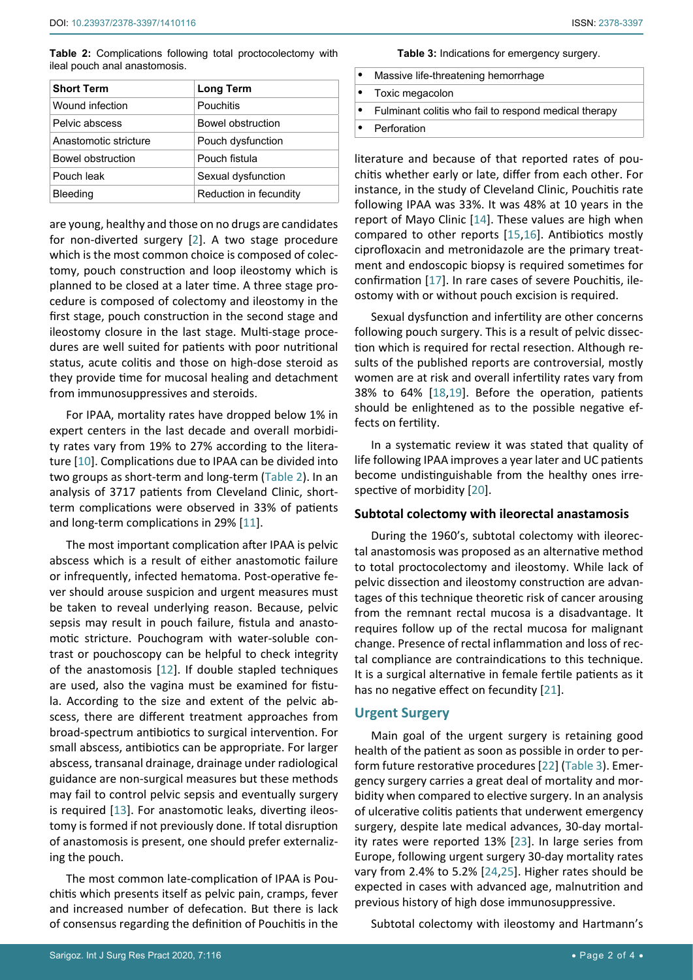<span id="page-1-1"></span>**Table 2:** Complications following total proctocolectomy with ileal pouch anal anastomosis.

| <b>Short Term</b>     | <b>Long Term</b>       |
|-----------------------|------------------------|
| Wound infection       | Pouchitis              |
| Pelvic abscess        | Bowel obstruction      |
| Anastomotic stricture | Pouch dysfunction      |
| Bowel obstruction     | Pouch fistula          |
| Pouch leak            | Sexual dysfunction     |
| Bleeding              | Reduction in fecundity |

are young, healthy and those on no drugs are candidates for non-diverted surgery [[2](#page-2-1)]. A two stage procedure which is the most common choice is composed of colectomy, pouch construction and loop ileostomy which is planned to be closed at a later time. A three stage procedure is composed of colectomy and ileostomy in the first stage, pouch construction in the second stage and ileostomy closure in the last stage. Multi-stage procedures are well suited for patients with poor nutritional status, acute colitis and those on high-dose steroid as they provide time for mucosal healing and detachment from immunosuppressives and steroids.

For IPAA, mortality rates have dropped below 1% in expert centers in the last decade and overall morbidity rates vary from 19% to 27% according to the literature [[10](#page-3-12)]. Complications due to IPAA can be divided into two groups as short-term and long-term ([Table 2](#page-1-1)). In an analysis of 3717 patients from Cleveland Clinic, shortterm complications were observed in 33% of patients and long-term complications in 29% [[11](#page-3-13)].

The most important complication after IPAA is pelvic abscess which is a result of either anastomotic failure or infrequently, infected hematoma. Post-operative fever should arouse suspicion and urgent measures must be taken to reveal underlying reason. Because, pelvic sepsis may result in pouch failure, fistula and anastomotic stricture. Pouchogram with water-soluble contrast or pouchoscopy can be helpful to check integrity of the anastomosis [[12](#page-3-14)]. If double stapled techniques are used, also the vagina must be examined for fistula. According to the size and extent of the pelvic abscess, there are different treatment approaches from broad-spectrum antibiotics to surgical intervention. For small abscess, antibiotics can be appropriate. For larger abscess, transanal drainage, drainage under radiological guidance are non-surgical measures but these methods may fail to control pelvic sepsis and eventually surgery is required [[13\]](#page-3-15). For anastomotic leaks, diverting ileostomy is formed if not previously done. If total disruption of anastomosis is present, one should prefer externalizing the pouch.

The most common late-complication of IPAA is Pouchitis which presents itself as pelvic pain, cramps, fever and increased number of defecation. But there is lack of consensus regarding the definition of Pouchitis in the <span id="page-1-0"></span>**Table 3:** Indications for emergency surgery.

| Massive life-threatening hemorrhage                   |
|-------------------------------------------------------|
| • Toxic megacolon                                     |
| Fulminant colitis who fail to respond medical therapy |
| Perforation                                           |
|                                                       |

literature and because of that reported rates of pouchitis whether early or late, differ from each other. For instance, in the study of Cleveland Clinic, Pouchitis rate following IPAA was 33%. It was 48% at 10 years in the report of Mayo Clinic [\[14](#page-3-0)]. These values are high when compared to other reports [\[15](#page-3-1),[16](#page-3-2)]. Antibiotics mostly ciprofloxacin and metronidazole are the primary treatment and endoscopic biopsy is required sometimes for confirmation [[17\]](#page-3-3). In rare cases of severe Pouchitis, ileostomy with or without pouch excision is required.

Sexual dysfunction and infertility are other concerns following pouch surgery. This is a result of pelvic dissection which is required for rectal resection. Although results of the published reports are controversial, mostly women are at risk and overall infertility rates vary from 38% to 64% [[18](#page-3-4),[19\]](#page-3-5). Before the operation, patients should be enlightened as to the possible negative effects on fertility.

In a systematic review it was stated that quality of life following IPAA improves a year later and UC patients become undistinguishable from the healthy ones irrespective of morbidity [[20](#page-3-6)].

#### **Subtotal colectomy with ileorectal anastamosis**

During the 1960's, subtotal colectomy with ileorectal anastomosis was proposed as an alternative method to total proctocolectomy and ileostomy. While lack of pelvic dissection and ileostomy construction are advantages of this technique theoretic risk of cancer arousing from the remnant rectal mucosa is a disadvantage. It requires follow up of the rectal mucosa for malignant change. Presence of rectal inflammation and loss of rectal compliance are contraindications to this technique. It is a surgical alternative in female fertile patients as it has no negative effect on fecundity [[21\]](#page-3-7).

#### **Urgent Surgery**

Main goal of the urgent surgery is retaining good health of the patient as soon as possible in order to perform future restorative procedures [[22\]](#page-3-8) ([Table 3\)](#page-1-0). Emergency surgery carries a great deal of mortality and morbidity when compared to elective surgery. In an analysis of ulcerative colitis patients that underwent emergency surgery, despite late medical advances, 30-day mortality rates were reported 13% [[23](#page-3-9)]. In large series from Europe, following urgent surgery 30-day mortality rates vary from 2.4% to 5.2% [[24](#page-3-10)[,25](#page-3-11)]. Higher rates should be expected in cases with advanced age, malnutrition and previous history of high dose immunosuppressive.

Subtotal colectomy with ileostomy and Hartmann's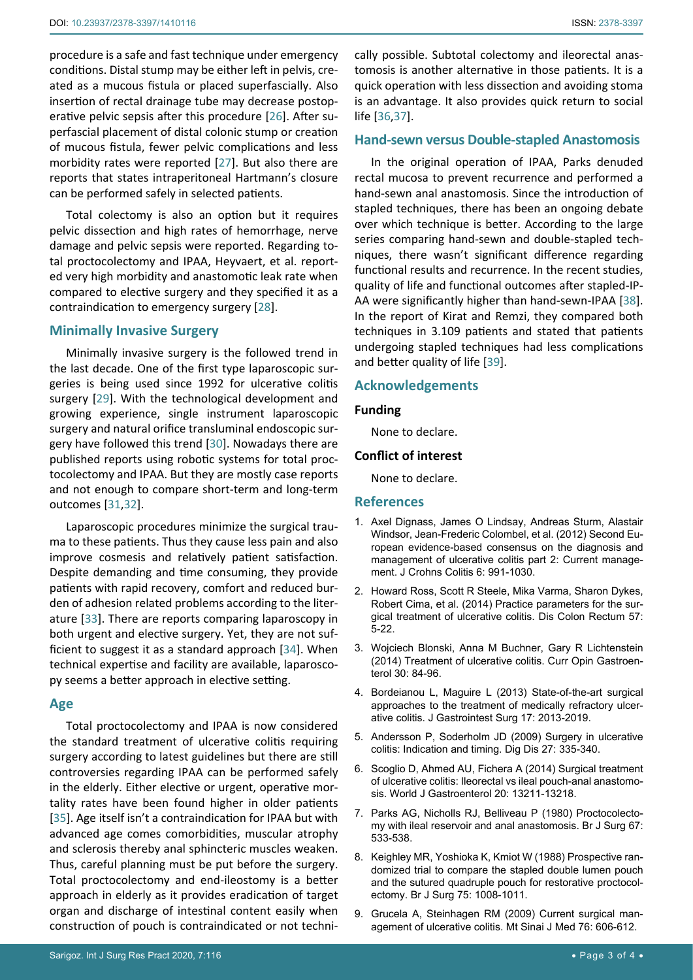procedure is a safe and fast technique under emergency conditions. Distal stump may be either left in pelvis, created as a mucous fistula or placed superfascially. Also insertion of rectal drainage tube may decrease postoperative pelvic sepsis after this procedure [\[26\]](#page-3-20). After superfascial placement of distal colonic stump or creation of mucous fistula, fewer pelvic complications and less morbidity rates were reported [[27](#page-3-21)]. But also there are reports that states intraperitoneal Hartmann's closure can be performed safely in selected patients.

Total colectomy is also an option but it requires pelvic dissection and high rates of hemorrhage, nerve damage and pelvic sepsis were reported. Regarding total proctocolectomy and IPAA, Heyvaert, et al. reported very high morbidity and anastomotic leak rate when compared to elective surgery and they specified it as a contraindication to emergency surgery [[28\]](#page-3-22).

#### **Minimally Invasive Surgery**

Minimally invasive surgery is the followed trend in the last decade. One of the first type laparoscopic surgeries is being used since 1992 for ulcerative colitis surgery [[29\]](#page-3-23). With the technological development and growing experience, single instrument laparoscopic surgery and natural orifice transluminal endoscopic surgery have followed this trend [\[30](#page-3-24)]. Nowadays there are published reports using robotic systems for total proctocolectomy and IPAA. But they are mostly case reports and not enough to compare short-term and long-term outcomes [[31](#page-3-25),[32\]](#page-3-26).

Laparoscopic procedures minimize the surgical trauma to these patients. Thus they cause less pain and also improve cosmesis and relatively patient satisfaction. Despite demanding and time consuming, they provide patients with rapid recovery, comfort and reduced burden of adhesion related problems according to the literature [[33\]](#page-3-27). There are reports comparing laparoscopy in both urgent and elective surgery. Yet, they are not sufficient to suggest it as a standard approach [[34\]](#page-3-28). When technical expertise and facility are available, laparoscopy seems a better approach in elective setting.

#### **Age**

Total proctocolectomy and IPAA is now considered the standard treatment of ulcerative colitis requiring surgery according to latest guidelines but there are still controversies regarding IPAA can be performed safely in the elderly. Either elective or urgent, operative mortality rates have been found higher in older patients [[35](#page-3-29)]. Age itself isn't a contraindication for IPAA but with advanced age comes comorbidities, muscular atrophy and sclerosis thereby anal sphincteric muscles weaken. Thus, careful planning must be put before the surgery. Total proctocolectomy and end-ileostomy is a better approach in elderly as it provides eradication of target organ and discharge of intestinal content easily when construction of pouch is contraindicated or not technically possible. Subtotal colectomy and ileorectal anastomosis is another alternative in those patients. It is a quick operation with less dissection and avoiding stoma is an advantage. It also provides quick return to social life [\[36](#page-3-16),[37\]](#page-3-17).

#### **Hand-sewn versus Double-stapled Anastomosis**

In the original operation of IPAA, Parks denuded rectal mucosa to prevent recurrence and performed a hand-sewn anal anastomosis. Since the introduction of stapled techniques, there has been an ongoing debate over which technique is better. According to the large series comparing hand-sewn and double-stapled techniques, there wasn't significant difference regarding functional results and recurrence. In the recent studies, quality of life and functional outcomes after stapled-IP-AA were significantly higher than hand-sewn-IPAA [\[38\]](#page-3-18). In the report of Kirat and Remzi, they compared both techniques in 3.109 patients and stated that patients undergoing stapled techniques had less complications and better quality of life [\[39\]](#page-3-19).

#### **Acknowledgements**

#### **Funding**

None to declare.

#### **Conflict of interest**

None to declare.

#### **References**

- <span id="page-2-0"></span>1. [Axel Dignass, James O Lindsay, Andreas Sturm, Alastair](https://pubmed.ncbi.nlm.nih.gov/23040451/)  [Windsor, Jean-Frederic Colombel, et al. \(2012\) Second Eu](https://pubmed.ncbi.nlm.nih.gov/23040451/)[ropean evidence-based consensus on the diagnosis and](https://pubmed.ncbi.nlm.nih.gov/23040451/)  [management of ulcerative colitis part 2: Current manage](https://pubmed.ncbi.nlm.nih.gov/23040451/)[ment. J Crohns Colitis 6: 991-1030.](https://pubmed.ncbi.nlm.nih.gov/23040451/)
- <span id="page-2-1"></span>2. [Howard Ross, Scott R Steele, Mika Varma, Sharon Dykes,](https://pubmed.ncbi.nlm.nih.gov/24316941/)  [Robert Cima, et al. \(2014\) Practice parameters for the sur](https://pubmed.ncbi.nlm.nih.gov/24316941/)[gical treatment of ulcerative colitis. Dis Colon Rectum 57:](https://pubmed.ncbi.nlm.nih.gov/24316941/)  [5-22.](https://pubmed.ncbi.nlm.nih.gov/24316941/)
- <span id="page-2-2"></span>3. [Wojciech Blonski, Anna M Buchner, Gary R Lichtenstein](https://pubmed.ncbi.nlm.nih.gov/24285003/)  [\(2014\) Treatment of ulcerative colitis. Curr Opin Gastroen](https://pubmed.ncbi.nlm.nih.gov/24285003/)[terol 30: 84-96.](https://pubmed.ncbi.nlm.nih.gov/24285003/)
- <span id="page-2-3"></span>4. [Bordeianou L, Maguire L \(2013\) State-of-the-art surgical](https://pubmed.ncbi.nlm.nih.gov/24002758/)  [approaches to the treatment of medically refractory ulcer](https://pubmed.ncbi.nlm.nih.gov/24002758/)[ative colitis. J Gastrointest Surg 17: 2013-2019.](https://pubmed.ncbi.nlm.nih.gov/24002758/)
- 5. [Andersson P, Soderholm JD \(2009\) Surgery in ulcerative](https://pubmed.ncbi.nlm.nih.gov/19786761/)  [colitis: Indication and timing. Dig Dis 27: 335-340.](https://pubmed.ncbi.nlm.nih.gov/19786761/)
- <span id="page-2-7"></span>6. [Scoglio D, Ahmed AU, Fichera A \(2014\) Surgical treatment](https://www.ncbi.nlm.nih.gov/pmc/articles/PMC4188879/)  [of ulcerative colitis: Ileorectal vs ileal pouch-anal anastomo](https://www.ncbi.nlm.nih.gov/pmc/articles/PMC4188879/)[sis. World J Gastroenterol 20: 13211-13218.](https://www.ncbi.nlm.nih.gov/pmc/articles/PMC4188879/)
- <span id="page-2-4"></span>7. [Parks AG, Nicholls RJ, Belliveau P \(1980\) Proctocolecto](https://pubmed.ncbi.nlm.nih.gov/7427044/)[my with ileal reservoir and anal anastomosis. Br J Surg 67:](https://pubmed.ncbi.nlm.nih.gov/7427044/)  [533-538.](https://pubmed.ncbi.nlm.nih.gov/7427044/)
- <span id="page-2-5"></span>8. [Keighley MR, Yoshioka K, Kmiot W \(1988\) Prospective ran](https://pubmed.ncbi.nlm.nih.gov/3219525/)[domized trial to compare the stapled double lumen pouch](https://pubmed.ncbi.nlm.nih.gov/3219525/)  [and the sutured quadruple pouch for restorative proctocol](https://pubmed.ncbi.nlm.nih.gov/3219525/)[ectomy. Br J Surg 75: 1008-1011.](https://pubmed.ncbi.nlm.nih.gov/3219525/)
- <span id="page-2-6"></span>9. [Grucela A, Steinhagen RM \(2009\) Current surgical man](https://onlinelibrary.wiley.com/doi/abs/10.1002/msj.20152)[agement of ulcerative colitis. Mt Sinai J Med 76: 606-612.](https://onlinelibrary.wiley.com/doi/abs/10.1002/msj.20152)